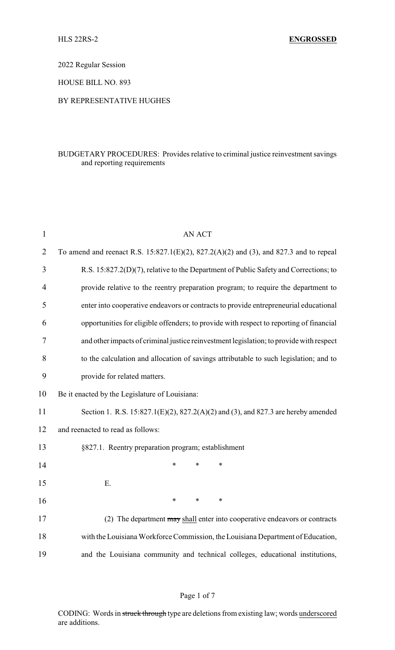2022 Regular Session

HOUSE BILL NO. 893

#### BY REPRESENTATIVE HUGHES

## BUDGETARY PROCEDURES: Provides relative to criminal justice reinvestment savings and reporting requirements

| $\mathbf{1}$   | <b>AN ACT</b>                                                                               |  |  |  |
|----------------|---------------------------------------------------------------------------------------------|--|--|--|
| $\overline{2}$ | To amend and reenact R.S. $15:827.1(E)(2)$ , $827.2(A)(2)$ and (3), and 827.3 and to repeal |  |  |  |
| 3              | R.S. 15:827.2(D)(7), relative to the Department of Public Safety and Corrections; to        |  |  |  |
| 4              | provide relative to the reentry preparation program; to require the department to           |  |  |  |
| 5              | enter into cooperative endeavors or contracts to provide entrepreneurial educational        |  |  |  |
| 6              | opportunities for eligible offenders; to provide with respect to reporting of financial     |  |  |  |
| 7              | and other impacts of criminal justice reinvestment legislation; to provide with respect     |  |  |  |
| 8              | to the calculation and allocation of savings attributable to such legislation; and to       |  |  |  |
| 9              | provide for related matters.                                                                |  |  |  |
| 10             | Be it enacted by the Legislature of Louisiana:                                              |  |  |  |
| 11             | Section 1. R.S. 15:827.1(E)(2), 827.2(A)(2) and (3), and 827.3 are hereby amended           |  |  |  |
| 12             | and reenacted to read as follows:                                                           |  |  |  |
| 13             | §827.1. Reentry preparation program; establishment                                          |  |  |  |
| 14             | $\ast$<br>$\ast$<br>$\ast$                                                                  |  |  |  |
| 15             | Ε.                                                                                          |  |  |  |
| 16             | $\ast$<br>$\ast$<br>$\ast$                                                                  |  |  |  |
| 17             | (2) The department may shall enter into cooperative endeavors or contracts                  |  |  |  |
| 18             | with the Louisiana Workforce Commission, the Louisiana Department of Education,             |  |  |  |
| 19             | and the Louisiana community and technical colleges, educational institutions,               |  |  |  |

#### Page 1 of 7

CODING: Words in struck through type are deletions from existing law; words underscored are additions.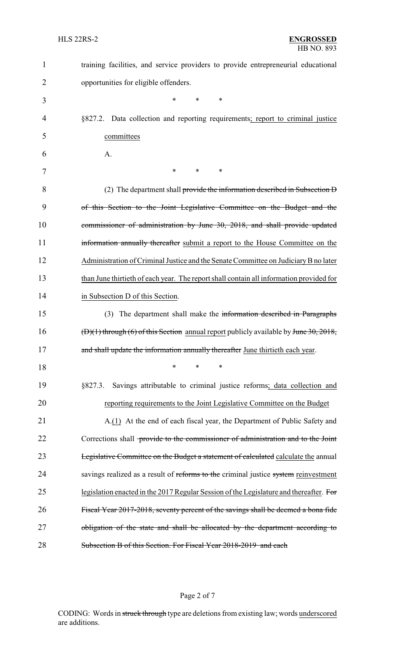| $\mathbf{1}$ | training facilities, and service providers to provide entrepreneurial educational       |
|--------------|-----------------------------------------------------------------------------------------|
| 2            | opportunities for eligible offenders.                                                   |
| 3            | $\ast$<br>$\ast$<br>$\ast$                                                              |
| 4            | §827.2. Data collection and reporting requirements; report to criminal justice          |
| 5            | committees                                                                              |
| 6            | A.                                                                                      |
| 7            | $*$<br>$\ast$<br>$\ast$                                                                 |
| 8            | (2) The department shall provide the information described in Subsection D              |
| 9            | of this Section to the Joint Legislative Committee on the Budget and the                |
| 10           | commissioner of administration by June 30, 2018, and shall provide updated              |
| 11           | information annually thereafter submit a report to the House Committee on the           |
| 12           | Administration of Criminal Justice and the Senate Committee on Judiciary B no later     |
| 13           | than June thirtieth of each year. The report shall contain all information provided for |
| 14           | in Subsection D of this Section.                                                        |
| 15           | The department shall make the information described in Paragraphs<br>(3)                |
| 16           | $(D)(1)$ through (6) of this Section annual report publicly available by June 30, 2018, |
| 17           | and shall update the information annually thereafter June thirtieth each year.          |
| 18           | $\ast$<br>∗<br>*                                                                        |
| 19           | Savings attributable to criminal justice reforms; data collection and<br>§827.3.        |
| 20           | reporting requirements to the Joint Legislative Committee on the Budget                 |
| 21           | A.(1) At the end of each fiscal year, the Department of Public Safety and               |
| 22           | Corrections shall provide to the commissioner of administration and to the Joint        |
| 23           | Legislative Committee on the Budget a statement of calculated calculate the annual      |
| 24           | savings realized as a result of reforms to the criminal justice system reinvestment     |
| 25           | legislation enacted in the 2017 Regular Session of the Legislature and thereafter. For  |
| 26           | Fiscal Year 2017-2018, seventy percent of the savings shall be deemed a bona fide       |
| 27           | obligation of the state and shall be allocated by the department according to           |
| 28           | Subsection B of this Section. For Fiscal Year 2018-2019 and each                        |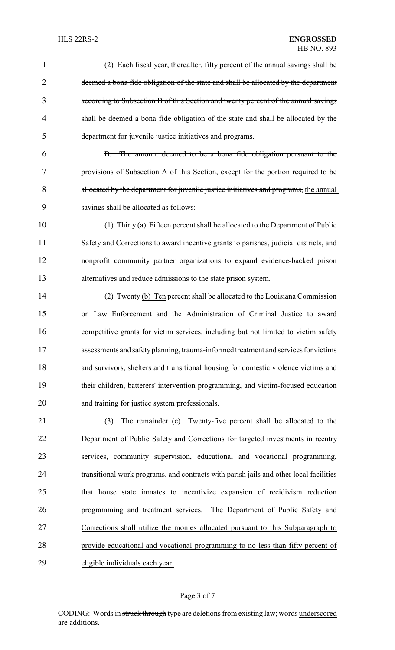#### HLS 22RS-2 **ENGROSSED** HB NO. 893

| $\mathbf{1}$   | (2) Each fiscal year, thereafter, fifty percent of the annual savings shall be             |
|----------------|--------------------------------------------------------------------------------------------|
| $\overline{2}$ | deemed a bona fide obligation of the state and shall be allocated by the department        |
| 3              | according to Subsection B of this Section and twenty percent of the annual savings         |
| 4              | shall be deemed a bona fide obligation of the state and shall be allocated by the          |
| 5              | department for juvenile justice initiatives and programs.                                  |
| 6              | B. The amount deemed to be a bona fide obligation pursuant to the                          |
| 7              | provisions of Subsection A of this Section, except for the portion required to be          |
| 8              | allocated by the department for juvenile justice initiatives and programs, the annual      |
| 9              | savings shall be allocated as follows:                                                     |
| 10             | $\frac{1}{1}$ Thirty (a) Fifteen percent shall be allocated to the Department of Public    |
| 11             | Safety and Corrections to award incentive grants to parishes, judicial districts, and      |
| 12             | nonprofit community partner organizations to expand evidence-backed prison                 |
| 13             | alternatives and reduce admissions to the state prison system.                             |
| 14             | $\frac{2}{2}$ Twenty (b) Ten percent shall be allocated to the Louisiana Commission        |
| 15             | on Law Enforcement and the Administration of Criminal Justice to award                     |
| 16             | competitive grants for victim services, including but not limited to victim safety         |
| 17             | assessments and safety planning, trauma-informed treatment and services for victims        |
| 18             | and survivors, shelters and transitional housing for domestic violence victims and         |
| 19             | their children, batterers' intervention programming, and victim-focused education          |
| 20             | and training for justice system professionals.                                             |
| 21             | $\left(\frac{3}{2}\right)$ The remainder (c) Twenty-five percent shall be allocated to the |
| 22             | Department of Public Safety and Corrections for targeted investments in reentry            |
| 23             | services, community supervision, educational and vocational programming,                   |
| 24             | transitional work programs, and contracts with parish jails and other local facilities     |
| 25             | that house state inmates to incentivize expansion of recidivism reduction                  |
| 26             | programming and treatment services. The Department of Public Safety and                    |
| 27             | Corrections shall utilize the monies allocated pursuant to this Subparagraph to            |
| 28             | provide educational and vocational programming to no less than fifty percent of            |
| 29             | eligible individuals each year.                                                            |

# Page 3 of 7

CODING: Words in struck through type are deletions from existing law; words underscored are additions.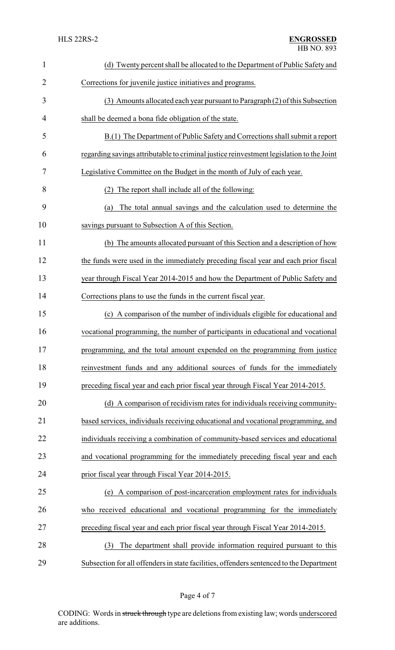| 1              | (d) Twenty percent shall be allocated to the Department of Public Safety and             |  |  |
|----------------|------------------------------------------------------------------------------------------|--|--|
| $\overline{2}$ | Corrections for juvenile justice initiatives and programs.                               |  |  |
| 3              | (3) Amounts allocated each year pursuant to Paragraph (2) of this Subsection             |  |  |
| 4              | shall be deemed a bona fide obligation of the state.                                     |  |  |
| 5              | B.(1) The Department of Public Safety and Corrections shall submit a report              |  |  |
| 6              | regarding savings attributable to criminal justice reinvestment legislation to the Joint |  |  |
| 7              | Legislative Committee on the Budget in the month of July of each year.                   |  |  |
| 8              | The report shall include all of the following:<br>(2)                                    |  |  |
| 9              | The total annual savings and the calculation used to determine the<br>(a)                |  |  |
| 10             | savings pursuant to Subsection A of this Section.                                        |  |  |
| 11             | (b) The amounts allocated pursuant of this Section and a description of how              |  |  |
| 12             | the funds were used in the immediately preceding fiscal year and each prior fiscal       |  |  |
| 13             | year through Fiscal Year 2014-2015 and how the Department of Public Safety and           |  |  |
| 14             | Corrections plans to use the funds in the current fiscal year.                           |  |  |
| 15             | A comparison of the number of individuals eligible for educational and<br>(c)            |  |  |
| 16             | vocational programming, the number of participants in educational and vocational         |  |  |
| 17             | programming, and the total amount expended on the programming from justice               |  |  |
| 18             | reinvestment funds and any additional sources of funds for the immediately               |  |  |
| 19             | preceding fiscal year and each prior fiscal year through Fiscal Year 2014-2015.          |  |  |
| 20             | (d) A comparison of recidivism rates for individuals receiving community-                |  |  |
| 21             | based services, individuals receiving educational and vocational programming, and        |  |  |
| 22             | individuals receiving a combination of community-based services and educational          |  |  |
| 23             | and vocational programming for the immediately preceding fiscal year and each            |  |  |
| 24             | prior fiscal year through Fiscal Year 2014-2015.                                         |  |  |
| 25             | A comparison of post-incarceration employment rates for individuals<br>(e)               |  |  |
| 26             | who received educational and vocational programming for the immediately                  |  |  |
| 27             | preceding fiscal year and each prior fiscal year through Fiscal Year 2014-2015.          |  |  |
| 28             | The department shall provide information required pursuant to this<br>(3)                |  |  |
| 29             | Subsection for all offenders in state facilities, offenders sentenced to the Department  |  |  |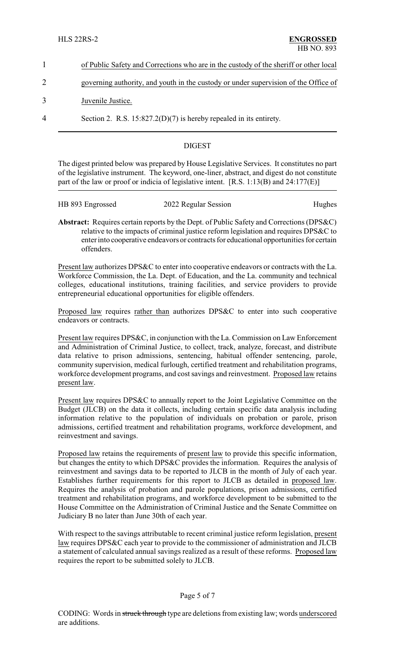| of Public Safety and Corrections who are in the custody of the sheriff or other local |
|---------------------------------------------------------------------------------------|
| governing authority, and youth in the custody or under supervision of the Office of   |

3 Juvenile Justice.

4 Section 2. R.S. 15:827.2(D)(7) is hereby repealed in its entirety.

# DIGEST

The digest printed below was prepared by House Legislative Services. It constitutes no part of the legislative instrument. The keyword, one-liner, abstract, and digest do not constitute part of the law or proof or indicia of legislative intent. [R.S. 1:13(B) and 24:177(E)]

| HB 893 Engrossed | 2022 Regular Session | Hughes |
|------------------|----------------------|--------|
|                  |                      |        |
|                  |                      |        |

**Abstract:** Requires certain reports by the Dept. of Public Safety and Corrections (DPS&C) relative to the impacts of criminal justice reform legislation and requires DPS&C to enter into cooperative endeavors or contracts for educational opportunities for certain offenders.

Present law authorizes DPS&C to enter into cooperative endeavors or contracts with the La. Workforce Commission, the La. Dept. of Education, and the La. community and technical colleges, educational institutions, training facilities, and service providers to provide entrepreneurial educational opportunities for eligible offenders.

Proposed law requires rather than authorizes DPS&C to enter into such cooperative endeavors or contracts.

Present law requires DPS&C, in conjunction with the La. Commission on Law Enforcement and Administration of Criminal Justice, to collect, track, analyze, forecast, and distribute data relative to prison admissions, sentencing, habitual offender sentencing, parole, community supervision, medical furlough, certified treatment and rehabilitation programs, workforce development programs, and cost savings and reinvestment. Proposed law retains present law.

Present law requires DPS&C to annually report to the Joint Legislative Committee on the Budget (JLCB) on the data it collects, including certain specific data analysis including information relative to the population of individuals on probation or parole, prison admissions, certified treatment and rehabilitation programs, workforce development, and reinvestment and savings.

Proposed law retains the requirements of present law to provide this specific information, but changes the entity to which DPS&C provides the information. Requires the analysis of reinvestment and savings data to be reported to JLCB in the month of July of each year. Establishes further requirements for this report to JLCB as detailed in proposed law. Requires the analysis of probation and parole populations, prison admissions, certified treatment and rehabilitation programs, and workforce development to be submitted to the House Committee on the Administration of Criminal Justice and the Senate Committee on Judiciary B no later than June 30th of each year.

With respect to the savings attributable to recent criminal justice reform legislation, present law requires DPS&C each year to provide to the commissioner of administration and JLCB a statement of calculated annual savings realized as a result of these reforms. Proposed law requires the report to be submitted solely to JLCB.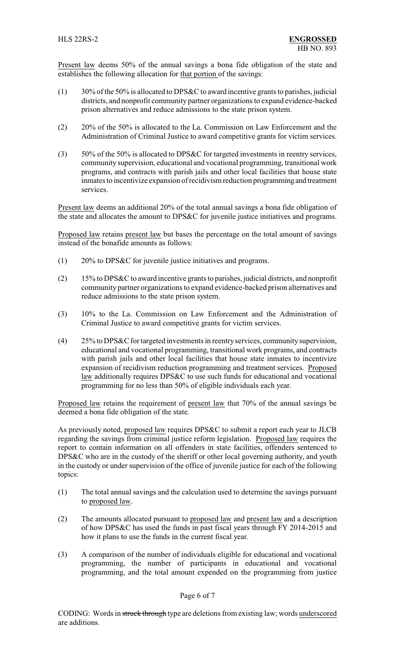Present law deems 50% of the annual savings a bona fide obligation of the state and establishes the following allocation for that portion of the savings:

- $(1)$  30% of the 50% is allocated to DPS&C to award incentive grants to parishes, judicial districts, and nonprofit community partner organizations to expand evidence-backed prison alternatives and reduce admissions to the state prison system.
- (2) 20% of the 50% is allocated to the La. Commission on Law Enforcement and the Administration of Criminal Justice to award competitive grants for victim services.
- (3) 50% of the 50% is allocated to DPS&C for targeted investments in reentry services, community supervision, educational and vocational programming, transitional work programs, and contracts with parish jails and other local facilities that house state inmates to incentivize expansion of recidivism reduction programming and treatment services.

Present law deems an additional 20% of the total annual savings a bona fide obligation of the state and allocates the amount to DPS&C for juvenile justice initiatives and programs.

Proposed law retains present law but bases the percentage on the total amount of savings instead of the bonafide amounts as follows:

- (1) 20% to DPS&C for juvenile justice initiatives and programs.
- (2) 15% to DPS&C to award incentive grants to parishes, judicial districts, and nonprofit community partner organizations to expand evidence-backed prison alternatives and reduce admissions to the state prison system.
- (3) 10% to the La. Commission on Law Enforcement and the Administration of Criminal Justice to award competitive grants for victim services.
- (4) 25% to DPS&C for targeted investments in reentryservices, communitysupervision, educational and vocational programming, transitional work programs, and contracts with parish jails and other local facilities that house state inmates to incentivize expansion of recidivism reduction programming and treatment services. Proposed law additionally requires DPS&C to use such funds for educational and vocational programming for no less than 50% of eligible individuals each year.

Proposed law retains the requirement of present law that 70% of the annual savings be deemed a bona fide obligation of the state.

As previously noted, proposed law requires DPS&C to submit a report each year to JLCB regarding the savings from criminal justice reform legislation. Proposed law requires the report to contain information on all offenders in state facilities, offenders sentenced to DPS&C who are in the custody of the sheriff or other local governing authority, and youth in the custody or under supervision of the office of juvenile justice for each of the following topics:

- (1) The total annual savings and the calculation used to determine the savings pursuant to proposed law.
- (2) The amounts allocated pursuant to proposed law and present law and a description of how DPS&C has used the funds in past fiscal years through FY 2014-2015 and how it plans to use the funds in the current fiscal year.
- (3) A comparison of the number of individuals eligible for educational and vocational programming, the number of participants in educational and vocational programming, and the total amount expended on the programming from justice